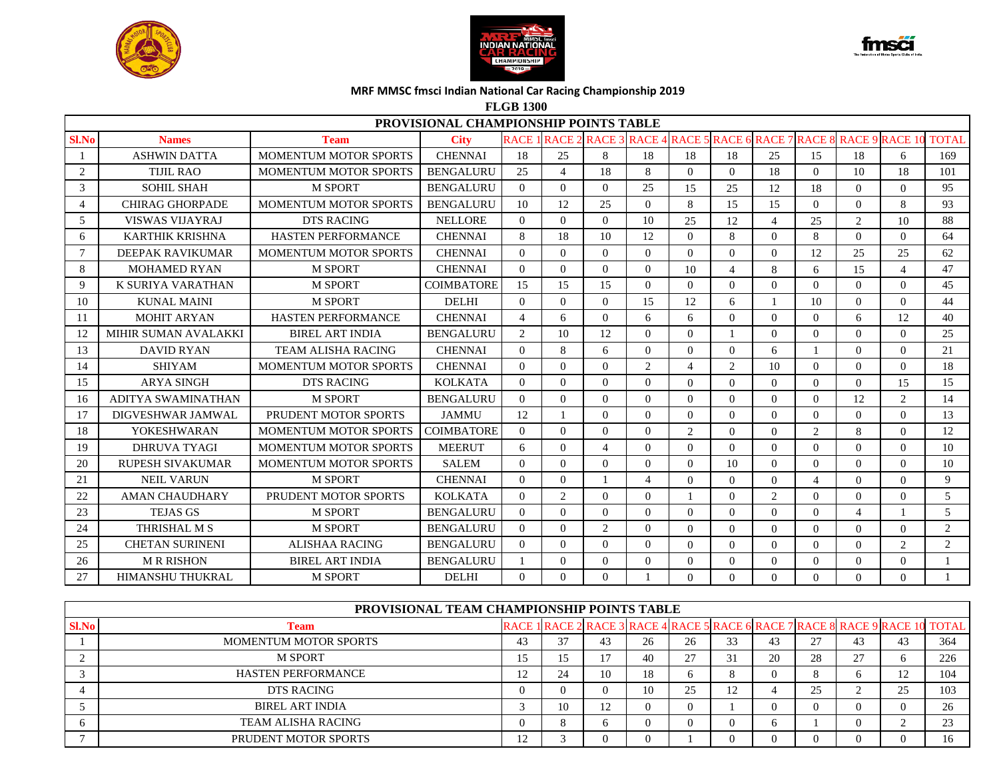





**FLGB 1300**

|       | PROVISIONAL CHAMPIONSHIP POINTS TABLE<br><b>RACE 1 RACE</b><br>2 RACE 3 RACE 4 RACE 5 RACE 6 RACE 7 RACE 8<br><b>City</b><br><b>RACE 9 RACE 10</b><br><b>TOTAL</b><br><b>Names</b><br><b>Team</b> |                              |                   |                |                |                          |                |                             |          |          |                |                |                |                |
|-------|---------------------------------------------------------------------------------------------------------------------------------------------------------------------------------------------------|------------------------------|-------------------|----------------|----------------|--------------------------|----------------|-----------------------------|----------|----------|----------------|----------------|----------------|----------------|
| Sl.No |                                                                                                                                                                                                   |                              |                   |                |                |                          |                |                             |          |          |                |                |                |                |
|       | <b>ASHWIN DATTA</b>                                                                                                                                                                               | <b>MOMENTUM MOTOR SPORTS</b> | <b>CHENNAI</b>    | 18             | 25             | 8                        | 18             | 18                          | 18       | 25       | 15             | 18             | 6              | 169            |
| 2     | TIJIL RAO                                                                                                                                                                                         | <b>MOMENTUM MOTOR SPORTS</b> | <b>BENGALURU</b>  | 25             | 4              | 18                       | 8              | $\Omega$                    | $\Omega$ | 18       | $\Omega$       | 10             | 18             | 101            |
| 3     | <b>SOHIL SHAH</b>                                                                                                                                                                                 | <b>M SPORT</b>               | <b>BENGALURU</b>  | $\theta$       | $\Omega$       | $\theta$                 | 25             | 15                          | 25       | 12       | 18             | $\Omega$       | $\Omega$       | 95             |
|       | CHIRAG GHORPADE                                                                                                                                                                                   | <b>MOMENTUM MOTOR SPORTS</b> | <b>BENGALURU</b>  | 10             | 12             | 25                       | $\Omega$       | 8                           | 15       | 15       | $\Omega$       | $\Omega$       | 8              | 93             |
| 5     | <b>VISWAS VIJAYRAJ</b>                                                                                                                                                                            | <b>DTS RACING</b>            | <b>NELLORE</b>    | $\Omega$       | $\Omega$       | $\Omega$                 | 10             | 25                          | 12       | 4        | 25             | 2              | 10             | 88             |
| 6     | <b>KARTHIK KRISHNA</b>                                                                                                                                                                            | <b>HASTEN PERFORMANCE</b>    | <b>CHENNAI</b>    | 8              | 18             | 10                       | 12             | $\Omega$                    | 8        | $\Omega$ | 8              | $\Omega$       | $\Omega$       | 64             |
|       | DEEPAK RAVIKUMAR                                                                                                                                                                                  | <b>MOMENTUM MOTOR SPORTS</b> | <b>CHENNAI</b>    | $\Omega$       | $\Omega$       | $\Omega$                 | $\Omega$       | $\Omega$                    | $\Omega$ | $\Omega$ | 12             | 25             | 25             | 62             |
| 8     | <b>MOHAMED RYAN</b>                                                                                                                                                                               | <b>M SPORT</b>               | <b>CHENNAI</b>    | $\Omega$       | $\Omega$       | $\Omega$                 | $\Omega$       | 10                          | 4        | 8        | 6              | 15             | $\overline{4}$ | 47             |
| 9     | K SURIYA VARATHAN                                                                                                                                                                                 | <b>M SPORT</b>               | <b>COIMBATORE</b> | 15             | 15             | 15                       | $\Omega$       | $\Omega$                    | $\theta$ | $\Omega$ | $\Omega$       | $\Omega$       | $\Omega$       | 45             |
| 10    | <b>KUNAL MAINI</b>                                                                                                                                                                                | <b>M SPORT</b>               | <b>DELHI</b>      | $\Omega$       | $\Omega$       | $\theta$                 | 15             | 12                          | 6        |          | 10             | $\Omega$       | $\Omega$       | 44             |
| 11    | <b>MOHIT ARYAN</b>                                                                                                                                                                                | <b>HASTEN PERFORMANCE</b>    | <b>CHENNAI</b>    | $\overline{4}$ | 6              | $\Omega$                 | 6              | 6                           | $\Omega$ | $\Omega$ | $\Omega$       | 6              | 12             | 40             |
| 12    | MIHIR SUMAN AVALAKKI                                                                                                                                                                              | <b>BIREL ART INDIA</b>       | <b>BENGALURU</b>  | 2              | 10             | 12                       | $\Omega$       | $\Omega$                    |          | $\Omega$ | $\Omega$       | $\Omega$       | $\Omega$       | 25             |
| 13    | <b>DAVID RYAN</b>                                                                                                                                                                                 | <b>TEAM ALISHA RACING</b>    | <b>CHENNAI</b>    | $\Omega$       | 8              | 6                        | $\Omega$       | $\Omega$                    | $\Omega$ | 6        |                | $\Omega$       | $\Omega$       | 21             |
| 14    | <b>SHIYAM</b>                                                                                                                                                                                     | <b>MOMENTUM MOTOR SPORTS</b> | <b>CHENNAI</b>    | $\Omega$       | $\Omega$       | $\Omega$                 | 2              | $\overline{\mathcal{L}}$    | 2        | 10       | 0              | $\Omega$       | $\theta$       | 18             |
| 15    | <b>ARYA SINGH</b>                                                                                                                                                                                 | <b>DTS RACING</b>            | <b>KOLKATA</b>    | $\Omega$       | $\Omega$       | $\Omega$                 | $\Omega$       | $\Omega$                    | $\Omega$ | $\Omega$ | $\Omega$       | $\Omega$       | 15             | 15             |
| 16    | ADITYA SWAMINATHAN                                                                                                                                                                                | <b>M SPORT</b>               | <b>BENGALURU</b>  | $\Omega$       | $\Omega$       | $\theta$                 | $\Omega$       | $\Omega$                    | $\Omega$ | $\Omega$ | $\Omega$       | 12             | 2              | 14             |
| 17    | DIGVESHWAR JAMWAL                                                                                                                                                                                 | PRUDENT MOTOR SPORTS         | <b>JAMMU</b>      | 12             |                | $\theta$                 | $\Omega$       | $\Omega$                    | $\Omega$ | $\Omega$ | 0              | $\Omega$       | $\Omega$       | 13             |
| 18    | <b>YOKESHWARAN</b>                                                                                                                                                                                | <b>MOMENTUM MOTOR SPORTS</b> | <b>COIMBATORE</b> | $\Omega$       | $\Omega$       | $\Omega$                 | $\Omega$       | $\mathcal{D}_{\mathcal{L}}$ | $\Omega$ | $\Omega$ | 2              | 8              | $\Omega$       | 12             |
| 19    | DHRUVA TYAGI                                                                                                                                                                                      | <b>MOMENTUM MOTOR SPORTS</b> | <b>MEERUT</b>     | 6              | $\Omega$       | $\overline{\mathcal{A}}$ | $\Omega$       | $\Omega$                    | $\Omega$ | $\Omega$ | $\Omega$       | $\Omega$       | $\Omega$       | 10             |
| 20    | <b>RUPESH SIVAKUMAR</b>                                                                                                                                                                           | <b>MOMENTUM MOTOR SPORTS</b> | <b>SALEM</b>      | $\Omega$       | $\Omega$       | $\Omega$                 | $\Omega$       | $\Omega$                    | 10       | $\Omega$ | 0              | $\Omega$       | $\Omega$       | 10             |
| 21    | <b>NEIL VARUN</b>                                                                                                                                                                                 | <b>M SPORT</b>               | <b>CHENNAI</b>    | $\Omega$       | $\Omega$       | $\mathbf{1}$             | $\overline{4}$ | $\Omega$                    | $\Omega$ | $\Omega$ | $\overline{4}$ | $\Omega$       | $\Omega$       | 9              |
| 22    | <b>AMAN CHAUDHARY</b>                                                                                                                                                                             | PRUDENT MOTOR SPORTS         | <b>KOLKATA</b>    | $\Omega$       | $\overline{2}$ | $\Omega$                 | $\Omega$       |                             | $\Omega$ | 2        | $\Omega$       | $\Omega$       | $\Omega$       | $\mathfrak{H}$ |
| 23    | <b>TEJAS GS</b>                                                                                                                                                                                   | <b>M SPORT</b>               | <b>BENGALURU</b>  | $\Omega$       | $\Omega$       | $\theta$                 | $\Omega$       | $\Omega$                    | $\Omega$ | $\Omega$ | $\Omega$       | $\overline{4}$ |                | 5              |
| 24    | THRISHAL M S                                                                                                                                                                                      | <b>M SPORT</b>               | <b>BENGALURU</b>  | $\Omega$       | $\Omega$       | 2                        | $\Omega$       | $\Omega$                    | $\Omega$ | $\Omega$ | $\Omega$       | $\Omega$       | $\theta$       | 2              |
| 25    | <b>CHETAN SURINENI</b>                                                                                                                                                                            | <b>ALISHAA RACING</b>        | <b>BENGALURU</b>  | $\Omega$       | $\Omega$       | $\Omega$                 | $\Omega$       | $\Omega$                    | $\Omega$ | $\Omega$ | 0              | $\Omega$       | $\overline{2}$ | $\overline{2}$ |
| 26    | <b>MR RISHON</b>                                                                                                                                                                                  | <b>BIREL ART INDIA</b>       | <b>BENGALURU</b>  |                | $\Omega$       | $\Omega$                 | $\Omega$       | $\Omega$                    | $\Omega$ | $\Omega$ | 0              | $\Omega$       | $\theta$       |                |
| 27    | <b>HIMANSHU THUKRAL</b>                                                                                                                                                                           | <b>M SPORT</b>               | <b>DELHI</b>      | $\Omega$       | $\Omega$       | $\Omega$                 |                | $\Omega$                    | $\Omega$ | $\Omega$ | 0              | $\Omega$       | $\Omega$       |                |

|              | PROVISIONAL TEAM CHAMPIONSHIP POINTS TABLE |    |    |                  |          |              |    |    |    |                             |  |                                                                              |  |  |  |
|--------------|--------------------------------------------|----|----|------------------|----------|--------------|----|----|----|-----------------------------|--|------------------------------------------------------------------------------|--|--|--|
| <b>Sl.No</b> | <b>Team</b>                                |    |    |                  |          |              |    |    |    |                             |  | RACE 1 RACE 2 RACE 3 RACE 4 RACE 5 RACE 6 RACE 7 RACE 8 RACE 9 RACE 10 TOTAL |  |  |  |
|              | <b>MOMENTUM MOTOR SPORTS</b>               | 43 | 37 | 43               | 26       | 26           |    | 43 | 27 | 43                          |  | 364                                                                          |  |  |  |
|              | <b>M SPORT</b>                             |    |    |                  | 40       |              |    | 20 | 28 | $\mathcal{L}$<br>$\angle$ 1 |  | 226                                                                          |  |  |  |
|              | <b>HASTEN PERFORMANCE</b>                  |    | 24 | 10               | 18       | <sub>0</sub> |    |    |    |                             |  | 104                                                                          |  |  |  |
|              | <b>DTS RACING</b>                          |    |    | $\left( \right)$ | 10       | 25           | 12 |    | 25 |                             |  | 103                                                                          |  |  |  |
|              | <b>BIREL ART INDIA</b>                     |    | 10 |                  | $\theta$ | $\Omega$     |    |    |    |                             |  | 26                                                                           |  |  |  |
|              | <b>TEAM ALISHA RACING</b>                  |    |    | n                |          |              |    | n  |    |                             |  | $\sim$                                                                       |  |  |  |
|              | PRUDENT MOTOR SPORTS                       | ∸  |    | $\left($         | $\Omega$ |              |    |    |    |                             |  | 16                                                                           |  |  |  |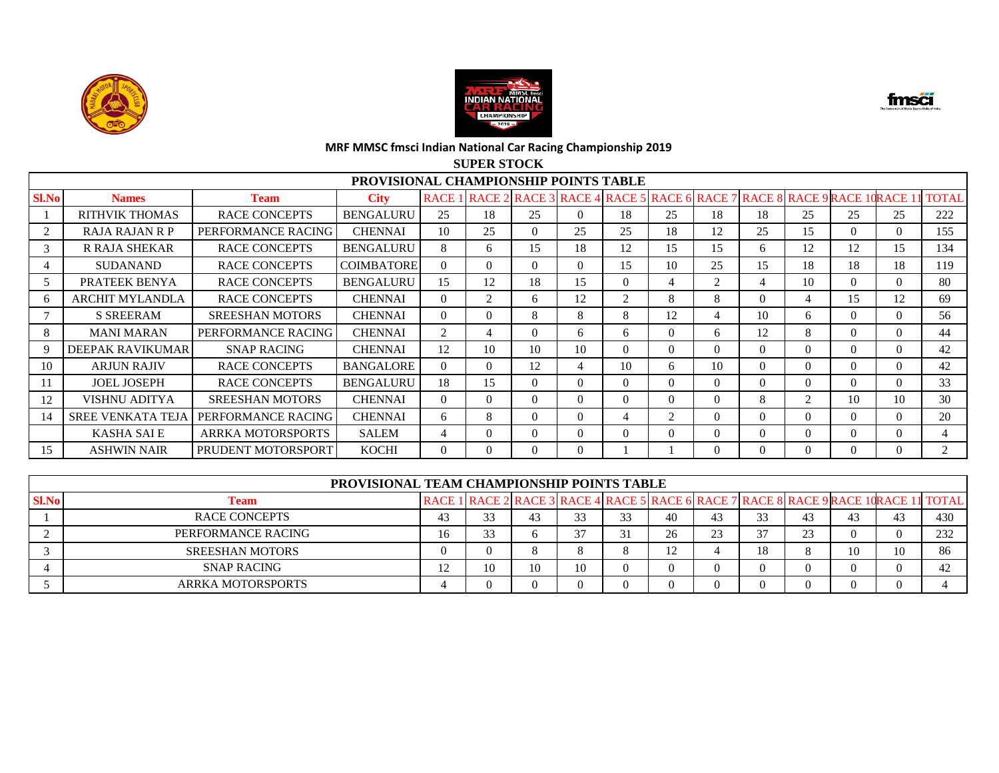



fmsä

#### **MRF MMSC fmsci Indian National Car Racing Championship 2019 SUPER STOCK**

|       |                          |                        |                                       |             | DUI ER DI UUR                                                         |          |          |                |                             |                |          |                |          |          |              |
|-------|--------------------------|------------------------|---------------------------------------|-------------|-----------------------------------------------------------------------|----------|----------|----------------|-----------------------------|----------------|----------|----------------|----------|----------|--------------|
|       |                          |                        | PROVISIONAL CHAMPIONSHIP POINTS TABLE |             |                                                                       |          |          |                |                             |                |          |                |          |          |              |
| Sl.No | <b>Names</b>             | <b>Team</b>            | <b>City</b>                           | <b>RACE</b> | RACE 2 RACE 3 RACE 4 RACE 5 RACE 6 RACE 7 RACE 8 RACE 9 RACE 1 RACE 1 |          |          |                |                             |                |          |                |          |          | <b>TOTAL</b> |
|       | <b>RITHVIK THOMAS</b>    | <b>RACE CONCEPTS</b>   | <b>BENGALURU</b>                      | 25          | 18                                                                    | 25       | 0        | 18             | 25                          | 18             | 18       | 25             | 25       | 25       | 222          |
| 2     | RAJA RAJAN R P           | PERFORMANCE RACING     | <b>CHENNAI</b>                        | 10          | 25                                                                    | $\Omega$ | 25       | 25             | 18                          | 12             | 25       | 15             | 0        | $\Omega$ | 155          |
| 3     | R RAJA SHEKAR            | <b>RACE CONCEPTS</b>   | <b>BENGALURU</b>                      | 8           | 6.                                                                    | 15       | 18       | 12             | 15                          | 15             | 6        | 12             | 12       | 15       | 134          |
| 4     | <b>SUDANAND</b>          | <b>RACE CONCEPTS</b>   | <b>COIMBATORE</b>                     | $\Omega$    | $\Omega$                                                              | $\Omega$ | $\theta$ | 15             | 10                          | 25             | 15       | 18             | 18       | 18       | 119          |
| 5     | PRATEEK BENYA            | <b>RACE CONCEPTS</b>   | <b>BENGALURU</b>                      | 15          | 12                                                                    | 18       | 15       | $\Omega$       | 4                           | $\overline{2}$ |          | 10             | $\Omega$ | $\Omega$ | 80           |
| 6     | <b>ARCHIT MYLANDLA</b>   | <b>RACE CONCEPTS</b>   | <b>CHENNAI</b>                        | $\Omega$    | 2                                                                     | 6        | 12       | $\mathcal{L}$  | 8                           | 8              | $\Omega$ | 4              | 15       | 12       | 69           |
|       | <b>S SREERAM</b>         | <b>SREESHAN MOTORS</b> | <b>CHENNAI</b>                        | $\Omega$    | $\Omega$                                                              | 8        | 8        | 8              | 12                          | 4              | 10       | 6              | $\Omega$ | $\Omega$ | 56           |
| 8     | <b>MANI MARAN</b>        | PERFORMANCE RACING     | <b>CHENNAI</b>                        | 2           |                                                                       | $\Omega$ | 6.       | 6              | $\Omega$                    | 6.             | 12       | 8              | 0        | $\Omega$ | 44           |
| 9     | <b>DEEPAK RAVIKUMAR</b>  | <b>SNAP RACING</b>     | <b>CHENNAI</b>                        | 12          | 10                                                                    | 10       | 10       | $\Omega$       | $\Omega$                    | 0              | $\Omega$ | $\Omega$       | 0        | $\Omega$ | 42           |
| 10    | <b>ARJUN RAJIV</b>       | <b>RACE CONCEPTS</b>   | <b>BANGALORE</b>                      | $\Omega$    | $\Omega$                                                              | 12       | 4        | 10             | 6                           | 10             | $\Omega$ | $\Omega$       | $\Omega$ | $\Omega$ | 42           |
| 11    | <b>JOEL JOSEPH</b>       | <b>RACE CONCEPTS</b>   | <b>BENGALURU</b>                      | 18          | 15                                                                    | $\Omega$ | 0        | $\Omega$       | $\Omega$                    | 0              | $\Omega$ | $\Omega$       | $\Omega$ | $\Omega$ | 33           |
| 12    | VISHNU ADITYA            | <b>SREESHAN MOTORS</b> | <b>CHENNAI</b>                        | $\Omega$    | $\Omega$                                                              | $\Omega$ | 0        | $\Omega$       | $\Omega$                    | 0              | 8        | $\mathfrak{D}$ | 10       | 10       | 30           |
| 14    | <b>SREE VENKATA TEJA</b> | PERFORMANCE RACING     | <b>CHENNAI</b>                        | 6           | 8                                                                     | $\Omega$ | 0        | $\overline{4}$ | $\mathcal{D}_{\mathcal{L}}$ | 0              | $\Omega$ | $\Omega$       | $\Omega$ | $\Omega$ | 20           |
|       | <b>KASHA SAI E</b>       | ARRKA MOTORSPORTS      | <b>SALEM</b>                          | 4           | 0                                                                     | $\Omega$ | 0        | $\Omega$       | $\Omega$                    | 0              | $\Omega$ | $\Omega$       | 0        | $\Omega$ | 4            |
| 15    | <b>ASHWIN NAIR</b>       | PRUDENT MOTORSPORT     | KOCHI                                 | $\Omega$    | $\Omega$                                                              | $\Omega$ | 0        |                |                             |                |          | $\Omega$       |          |          |              |

|              | <b>PROVISIONAL TEAM CHAMPIONSHIP POINTS TABLE</b> |    |    |    |    |    |             |    |    |    |                                                                                      |     |
|--------------|---------------------------------------------------|----|----|----|----|----|-------------|----|----|----|--------------------------------------------------------------------------------------|-----|
| <b>Sl.No</b> | <b>Team</b>                                       |    |    |    |    |    |             |    |    |    | RACE 1 RACE 2 RACE 3 RACE 4 RACE 5 RACE 6 RACE 7 RACE 8 RACE 9 RACE 1 RACE 1 1 TOTAL |     |
|              | RACE CONCEPTS                                     | 33 | 43 | 33 | 23 | 40 | 43          | 33 | 43 | 43 | 43                                                                                   | 430 |
|              | PERFORMANCE RACING                                | 33 | O  | 37 |    | 26 | $2^{\circ}$ | 37 | 23 |    |                                                                                      | 232 |
|              | <b>SREESHAN MOTORS</b>                            |    |    |    |    |    |             | 18 |    |    | 10                                                                                   | 86  |
|              | <b>SNAP RACING</b>                                | 10 | 10 | 10 |    |    |             |    |    |    |                                                                                      |     |
|              | <b>ARRKA MOTORSPORTS</b>                          |    |    |    |    |    |             |    |    |    |                                                                                      |     |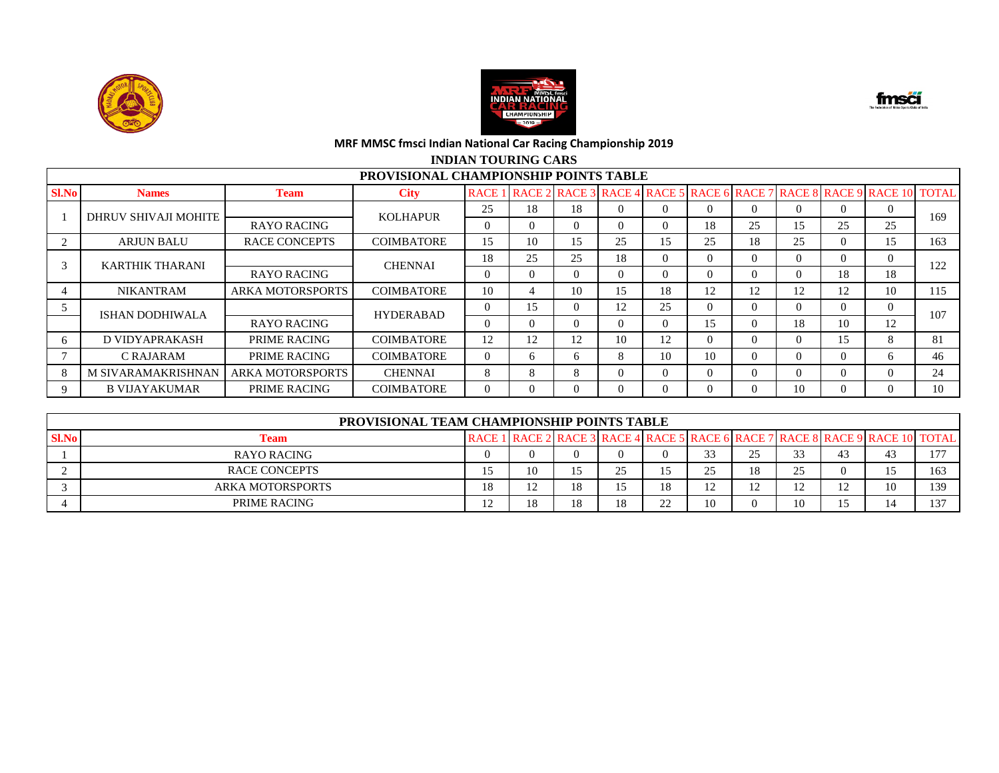





## **INDIAN TOURING CARS**

|              |                           |                         | <b>PROVISIONAL CHAMPIONSHIP POINTS TABLE</b> |                |                                  |          |    |    |          |          |          |          |                                              |              |
|--------------|---------------------------|-------------------------|----------------------------------------------|----------------|----------------------------------|----------|----|----|----------|----------|----------|----------|----------------------------------------------|--------------|
| <b>Sl.No</b> | <b>Names</b>              | <b>Team</b>             | <b>City</b>                                  |                | <b>RACE 1 RACE 2 RACE 3 RACE</b> |          |    |    |          |          |          |          | 4 RACE 5 RACE 6 RACE 7 RACE 8 RACE 9 RACE 10 | <b>TOTAL</b> |
|              | DHRUV SHIVAJI MOHITE      |                         | <b>KOLHAPUR</b>                              | 25             | 18                               | 18       |    |    | $\Omega$ | $\Omega$ | $\theta$ |          | $\theta$                                     | 169          |
|              |                           | <b>RAYO RACING</b>      |                                              | $\Omega$       |                                  | 0        |    | 0  | 18       | 25       | 15       | 25       | 25                                           |              |
|              | <b>ARJUN BALU</b>         | <b>RACE CONCEPTS</b>    | <b>COIMBATORE</b>                            | 15             | 10                               | 15       | 25 | 15 | 25       | 18       | 25       | $\Omega$ | 15                                           | 163          |
|              | <b>KARTHIK THARANI</b>    |                         | <b>CHENNAI</b>                               | 18             | 25                               | 25       | 18 | 0  | $\Omega$ | $\Omega$ | $\Omega$ |          | $\Omega$                                     | 122          |
|              |                           | <b>RAYO RACING</b>      |                                              | $\Omega$       | 0                                | $\Omega$ |    | 0  | $\Omega$ | $\Omega$ | $\Omega$ | 18       | 18                                           |              |
|              | <b>NIKANTRAM</b>          | <b>ARKA MOTORSPORTS</b> | <b>COIMBATORE</b>                            | 10             | 4                                | 10       | 15 | 18 | 12       | 12       | 12       | 12       | 10                                           | 115          |
|              | <b>ISHAN DODHIWALA</b>    |                         | <b>HYDERABAD</b>                             | $\overline{0}$ | 15                               | $\Omega$ | 12 | 25 | $\Omega$ | $\Omega$ | $\Omega$ | $\Omega$ | $\Omega$                                     | 107          |
|              |                           | <b>RAYO RACING</b>      |                                              | $\Omega$       |                                  | $\Omega$ |    |    | 15       | $\Omega$ | 18       | 10       | 12                                           |              |
| h            | D VIDYAPRAKASH            | PRIME RACING            | COIMBATORE                                   | 12             | 12                               | 12       | 10 | 12 | $\Omega$ | $\Omega$ | $\Omega$ | 15       | 8                                            | 81           |
|              | C RAJARAM                 | PRIME RACING            | <b>COIMBATORE</b>                            | $\theta$       | 6.                               | 6        | 8  | 10 | 10       | $\Omega$ | $\Omega$ | $\Omega$ | 6                                            | 46           |
| 8            | <b>M SIVARAMAKRISHNAN</b> | <b>ARKA MOTORSPORTS</b> | <b>CHENNAI</b>                               | 8              | 8                                | 8        |    | 0  | $\Omega$ | $\Omega$ | $\Omega$ |          | $\Omega$                                     | 24           |
| 9            | <b>B VIJAYAKUMAR</b>      | <b>PRIME RACING</b>     | COIMBATORE                                   | $\theta$       |                                  | 0        |    |    | $\Omega$ | $\Omega$ | 10       |          | $\Omega$                                     | 10           |

|              | PROVISIONAL TEAM CHAMPIONSHIP POINTS TABLE |               |    |    |    |             |                       |        |    |  |                                                                                           |                |  |  |
|--------------|--------------------------------------------|---------------|----|----|----|-------------|-----------------------|--------|----|--|-------------------------------------------------------------------------------------------|----------------|--|--|
| <b>Sl.No</b> | Team                                       | <b>RACE 1</b> |    |    |    |             |                       |        |    |  | l RACE 2   RACE 3   RACE 4   RACE 5   RACE 6   RACE 7   RACE 8   RACE 9   RACE 10   TOTAL |                |  |  |
|              | <b>RAYO RACING</b>                         |               |    |    |    |             | 33<br>ر ر             | ر_     |    |  |                                                                                           | 1.77           |  |  |
|              | <b>RACE CONCEPTS</b>                       | ⊥ັ            | 10 |    | ጎኛ |             | つち<br>ر ب             | 18     |    |  |                                                                                           | 163            |  |  |
|              | ARKA MOTORSPORTS                           | 18            |    | 18 |    | 18          | 1 <sub>0</sub><br>⊥ ∠ | $\sim$ |    |  |                                                                                           | 139            |  |  |
|              | PRIME RACING                               | $\bigcap$     | 10 |    |    | $\cap$<br>∸ | 10                    |        | 10 |  |                                                                                           | 1 <sub>0</sub> |  |  |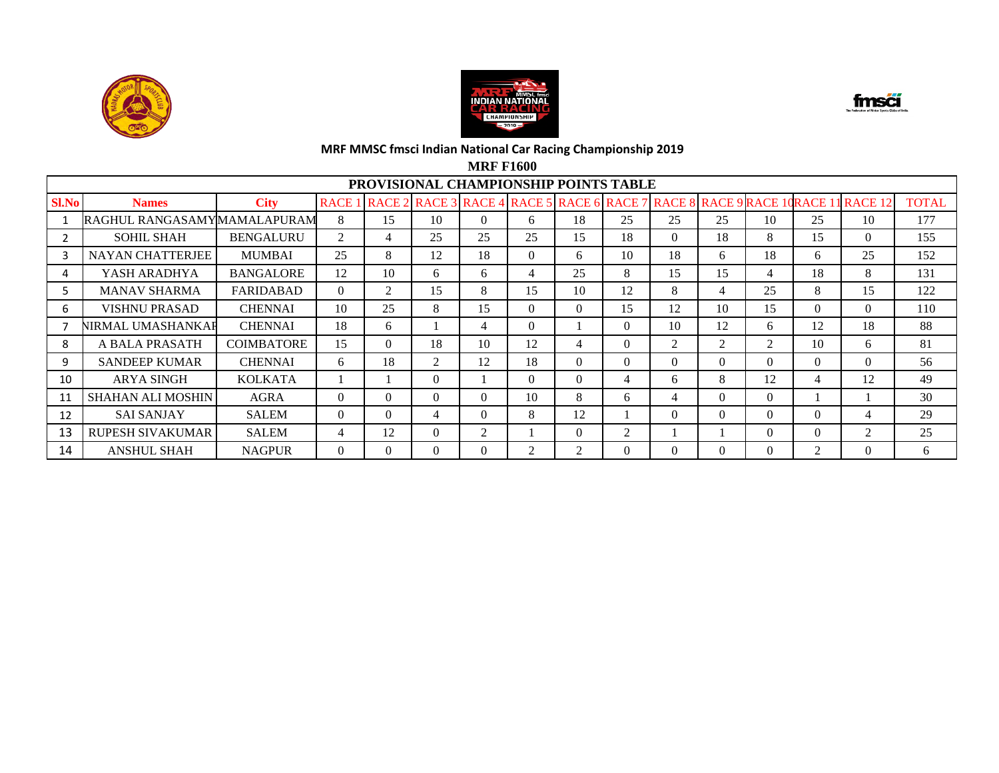





**MRF F1600**

|              | PROVISIONAL CHAMPIONSHIP POINTS TABLE<br>RACE 2 RACE 3 RACE 4 RACE 5 RACE 6 RACE 7<br>7 RACE 8 RACE 9 RACE 10RACE 1 |                   |              |                |                |                |          |          |                |                |          |                |          |                  |              |
|--------------|---------------------------------------------------------------------------------------------------------------------|-------------------|--------------|----------------|----------------|----------------|----------|----------|----------------|----------------|----------|----------------|----------|------------------|--------------|
| <b>Sl.No</b> | <b>Names</b>                                                                                                        | <b>City</b>       | <b>RACE1</b> |                |                |                |          |          |                |                |          |                |          | <b>1 RACE 12</b> | <b>TOTAL</b> |
|              | RAGHUL RANGASAMYIMAMALAPURAM                                                                                        |                   | 8            | 15             | 10             | $\Omega$       | 6        | 18       | 25             | 25             | 25       | 10             | 25       | 10               | 177          |
|              | <b>SOHIL SHAH</b>                                                                                                   | <b>BENGALURU</b>  | 2            | $\overline{4}$ | 25             | 25             | 25       | 15       | 18             | $\Omega$       | 18       | 8              | 15       | $\Omega$         | 155          |
| 3            | <b>NAYAN CHATTERJEE</b>                                                                                             | <b>MUMBAI</b>     | 25           | 8              | 12             | 18             | $\Omega$ | 6        | 10             | 18             | 6        | 18             | 6        | 25               | 152          |
| 4            | YASH ARADHYA                                                                                                        | <b>BANGALORE</b>  | 12           | 10             | 6              | 6              | 4        | 25       | 8              | 15             | 15       | $\overline{4}$ | 18       | 8                | 131          |
| 5            | <b>MANAV SHARMA</b>                                                                                                 | <b>FARIDABAD</b>  | $\Omega$     | 2              | 15             | 8              | 15       | 10       | 12             | 8              | 4        | 25             | 8        | 15               | 122          |
| 6            | <b>VISHNU PRASAD</b>                                                                                                | <b>CHENNAI</b>    | 10           | 25             | 8              | 15             | $\Omega$ | 0        | 15             | 12             | 10       | 15             | $\Omega$ | $\Omega$         | 110          |
|              | NIRMAL UMASHANKAF                                                                                                   | <b>CHENNAI</b>    | 18           | 6              |                | 4              | $\Omega$ |          | $\Omega$       | 10             | 12       | 6              | 12       | 18               | 88           |
| 8            | A BALA PRASATH                                                                                                      | <b>COIMBATORE</b> | 15           | $\theta$       | 18             | 10             | 12       | 4        | $\Omega$       | $\overline{2}$ | 2        | 2              | 10       | 6                | 81           |
| 9            | <b>SANDEEP KUMAR</b>                                                                                                | <b>CHENNAI</b>    | 6            | 18             | 2              | 12             | 18       | $\Omega$ | $\Omega$       | $\Omega$       | $\Omega$ | $\Omega$       | $\Omega$ | $\Omega$         | 56           |
| 10           | <b>ARYA SINGH</b>                                                                                                   | <b>KOLKATA</b>    |              |                | $\overline{0}$ |                | $\Omega$ | $\Omega$ | 4              | 6              | 8        | 12             | 4        | 12               | 49           |
| 11           | <b>SHAHAN ALI MOSHIN</b>                                                                                            | <b>AGRA</b>       | $\Omega$     | $\theta$       | $\Omega$       | $\Omega$       | 10       | 8        | 6              | 4              | $\theta$ | $\Omega$       |          |                  | 30           |
| 12           | <b>SAI SANJAY</b>                                                                                                   | <b>SALEM</b>      | $\Omega$     | $\theta$       | 4              | $\Omega$       | 8        | 12       |                | $\Omega$       | $\Omega$ | $\Omega$       | $\Omega$ | 4                | 29           |
| 13           | <b>RUPESH SIVAKUMAR</b>                                                                                             | SALEM             | 4            | 12             | $\Omega$       | $\overline{2}$ |          | 0        | $\overline{2}$ |                |          | $\Omega$       | $\Omega$ | 2                | 25           |
| 14           | <b>ANSHUL SHAH</b>                                                                                                  | <b>NAGPUR</b>     | $\Omega$     | $\theta$       | $\Omega$       | $\Omega$       | 2        | 2        | 0              | $\Omega$       | $\Omega$ | $\Omega$       | 2        | $\Omega$         | 6            |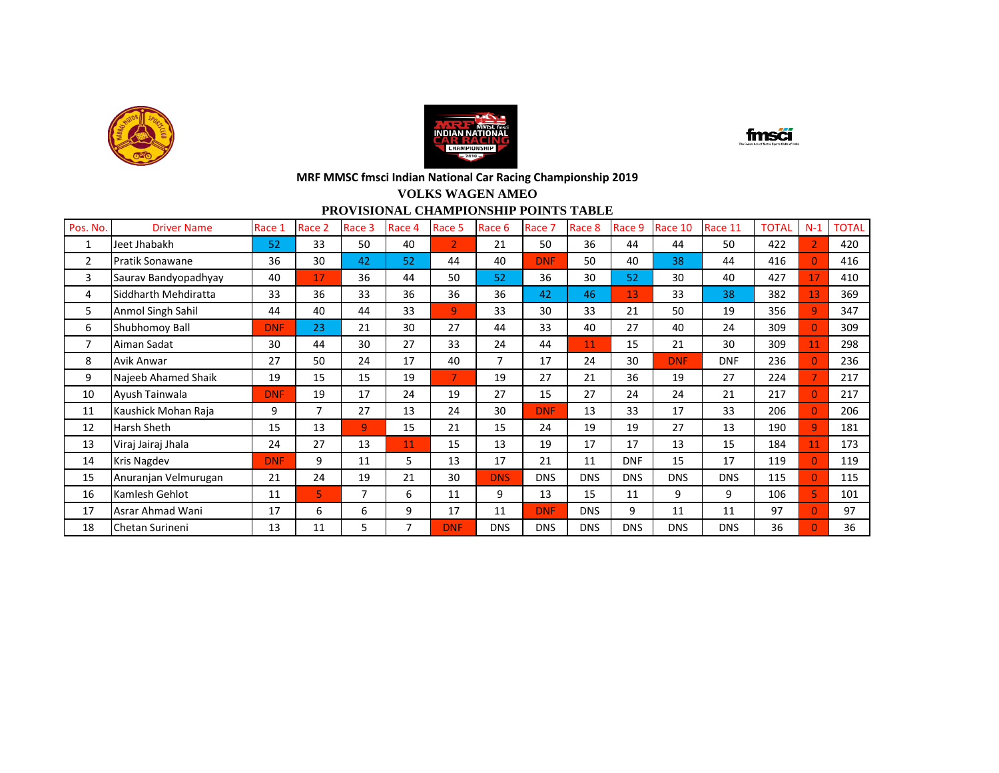





#### **VOLKS WAGEN AMEO PROVISIONAL CHAMPIONSHIP POINTS TABLE**

| Pos. No.       | <b>Driver Name</b>     | Race 1     | Race 2 | Race 3 | Race 4         | Race 5         | Race 6     | Race 7     | Race 8     | Race 9     | Race 10    | Race 11    | <b>TOTAL</b> | $N-1$          | <b>TOTAL</b> |
|----------------|------------------------|------------|--------|--------|----------------|----------------|------------|------------|------------|------------|------------|------------|--------------|----------------|--------------|
| $\mathbf{1}$   | Jeet Jhabakh           | 52         | 33     | 50     | 40             | $\overline{2}$ | 21         | 50         | 36         | 44         | 44         | 50         | 422          | $\overline{2}$ | 420          |
| $\overline{2}$ | <b>Pratik Sonawane</b> | 36         | 30     | 42     | 52             | 44             | 40         | <b>DNF</b> | 50         | 40         | 38         | 44         | 416          | $\Omega$       | 416          |
| 3              | Saurav Bandyopadhyay   | 40         | 17     | 36     | 44             | 50             | 52         | 36         | 30         | 52         | 30         | 40         | 427          | 17             | 410          |
| 4              | Siddharth Mehdiratta   | 33         | 36     | 33     | 36             | 36             | 36         | 42         | 46         | 13         | 33         | 38         | 382          | 13             | 369          |
| 5              | Anmol Singh Sahil      | 44         | 40     | 44     | 33             | 9              | 33         | 30         | 33         | 21         | 50         | 19         | 356          | $\overline{9}$ | 347          |
| 6              | Shubhomoy Ball         | <b>DNF</b> | 23     | 21     | 30             | 27             | 44         | 33         | 40         | 27         | 40         | 24         | 309          | $\Omega$       | 309          |
| 7              | Aiman Sadat            | 30         | 44     | 30     | 27             | 33             | 24         | 44         | 11         | 15         | 21         | 30         | 309          | 11             | 298          |
| 8              | Avik Anwar             | 27         | 50     | 24     | 17             | 40             | 7          | 17         | 24         | 30         | <b>DNF</b> | <b>DNF</b> | 236          | $\Omega$       | 236          |
| 9              | Najeeb Ahamed Shaik    | 19         | 15     | 15     | 19             | $\overline{7}$ | 19         | 27         | 21         | 36         | 19         | 27         | 224          |                | 217          |
| 10             | Ayush Tainwala         | <b>DNF</b> | 19     | 17     | 24             | 19             | 27         | 15         | 27         | 24         | 24         | 21         | 217          | $\Omega$       | 217          |
| 11             | Kaushick Mohan Raja    | 9          | 7      | 27     | 13             | 24             | 30         | <b>DNF</b> | 13         | 33         | 17         | 33         | 206          | $\Omega$       | 206          |
| 12             | <b>Harsh Sheth</b>     | 15         | 13     | 9      | 15             | 21             | 15         | 24         | 19         | 19         | 27         | 13         | 190          | $\mathbf{q}$   | 181          |
| 13             | Viraj Jairaj Jhala     | 24         | 27     | 13     | 11             | 15             | 13         | 19         | 17         | 17         | 13         | 15         | 184          | 11             | 173          |
| 14             | <b>Kris Nagdev</b>     | <b>DNF</b> | 9      | 11     | 5              | 13             | 17         | 21         | 11         | <b>DNF</b> | 15         | 17         | 119          | $\Omega$       | 119          |
| 15             | Anuranjan Velmurugan   | 21         | 24     | 19     | 21             | 30             | <b>DNS</b> | <b>DNS</b> | <b>DNS</b> | <b>DNS</b> | <b>DNS</b> | <b>DNS</b> | 115          | $\Omega$       | 115          |
| 16             | Kamlesh Gehlot         | 11         | 5.     | 7      | 6              | 11             | 9          | 13         | 15         | 11         | 9          | 9          | 106          | 5.             | 101          |
| 17             | Asrar Ahmad Wani       | 17         | 6      | 6      | 9              | 17             | 11         | <b>DNF</b> | <b>DNS</b> | 9          | 11         | 11         | 97           | $\Omega$       | 97           |
| 18             | Chetan Surineni        | 13         | 11     | 5      | $\overline{7}$ | <b>DNF</b>     | <b>DNS</b> | <b>DNS</b> | <b>DNS</b> | <b>DNS</b> | <b>DNS</b> | <b>DNS</b> | 36           | $\overline{0}$ | 36           |